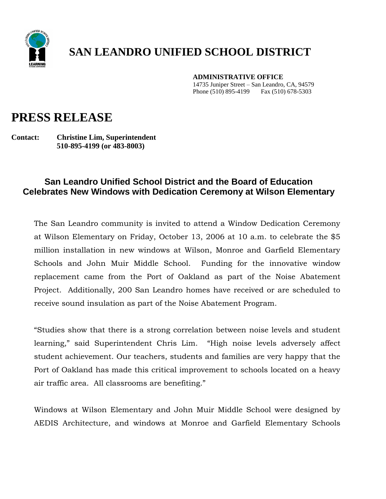

## **SAN LEANDRO UNIFIED SCHOOL DISTRICT**

**ADMINISTRATIVE OFFICE**

 14735 Juniper Street – San Leandro, CA, 94579 Phone (510) 895-4199 Fax (510) 678-5303

## **PRESS RELEASE**

**Contact: Christine Lim, Superintendent 510-895-4199 (or 483-8003)**

## **San Leandro Unified School District and the Board of Education Celebrates New Windows with Dedication Ceremony at Wilson Elementary**

The San Leandro community is invited to attend a Window Dedication Ceremony at Wilson Elementary on Friday, October 13, 2006 at 10 a.m. to celebrate the \$5 million installation in new windows at Wilson, Monroe and Garfield Elementary Schools and John Muir Middle School. Funding for the innovative window replacement came from the Port of Oakland as part of the Noise Abatement Project. Additionally, 200 San Leandro homes have received or are scheduled to receive sound insulation as part of the Noise Abatement Program.

"Studies show that there is a strong correlation between noise levels and student learning," said Superintendent Chris Lim. "High noise levels adversely affect student achievement. Our teachers, students and families are very happy that the Port of Oakland has made this critical improvement to schools located on a heavy air traffic area. All classrooms are benefiting."

Windows at Wilson Elementary and John Muir Middle School were designed by AEDIS Architecture, and windows at Monroe and Garfield Elementary Schools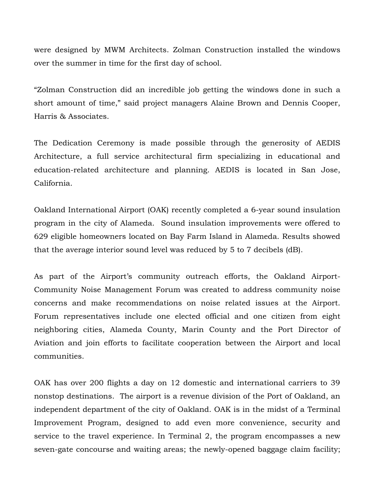were designed by MWM Architects. Zolman Construction installed the windows over the summer in time for the first day of school.

"Zolman Construction did an incredible job getting the windows done in such a short amount of time," said project managers Alaine Brown and Dennis Cooper, Harris & Associates.

The Dedication Ceremony is made possible through the generosity of AEDIS Architecture, a full service architectural firm specializing in educational and education-related architecture and planning. AEDIS is located in San Jose, California.

Oakland International Airport (OAK) recently completed a 6-year sound insulation program in the city of Alameda. Sound insulation improvements were offered to 629 eligible homeowners located on Bay Farm Island in Alameda. Results showed that the average interior sound level was reduced by 5 to 7 decibels (dB).

As part of the Airport's community outreach efforts, the [Oakland Airport-](http://www.oaklandairport.com/noise/noise_oakforum.shtml)[Community Noise Management Forum](http://www.oaklandairport.com/noise/noise_oakforum.shtml) was created to address community noise concerns and make recommendations on noise related issues at the Airport. Forum representatives include one elected official and one citizen from eight neighboring cities, Alameda County, Marin County and the Port Director of Aviation and join efforts to facilitate cooperation between the Airport and local communities.

OAK has over 200 flights a day on 12 domestic and international carriers to 39 nonstop destinations. The airport is a revenue division of the Port of Oakland, an independent department of the city of Oakland. OAK is in the midst of a Terminal Improvement Program, designed to add even more convenience, security and service to the travel experience. In Terminal 2, the program encompasses a new seven-gate concourse and waiting areas; the newly-opened baggage claim facility;